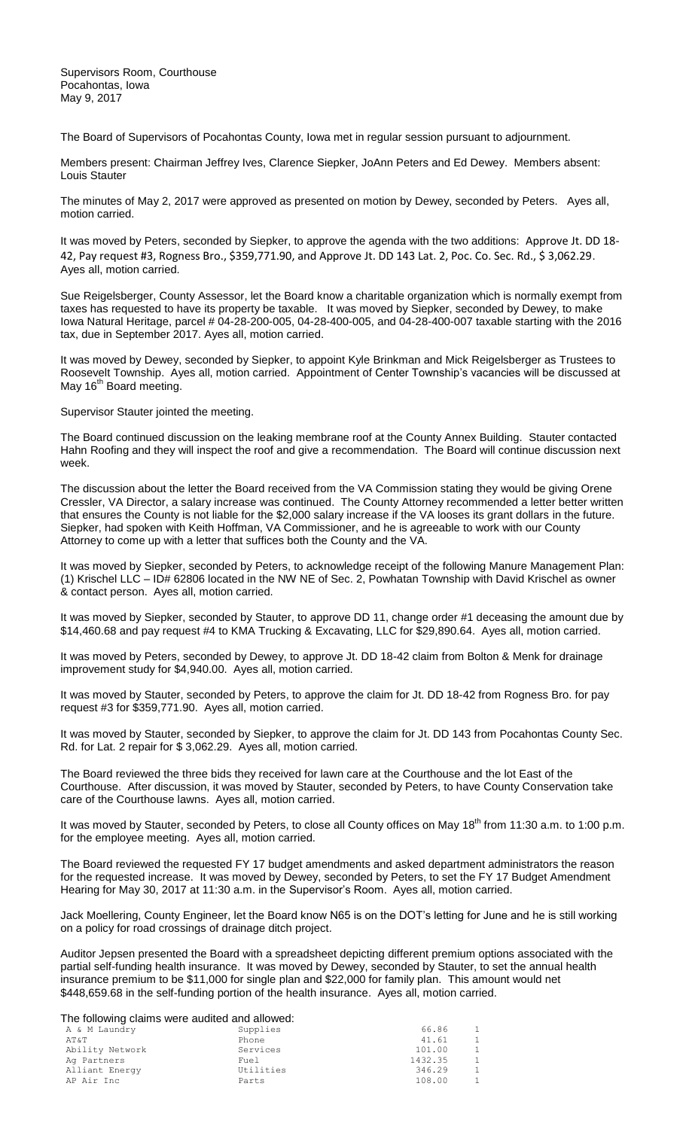Supervisors Room, Courthouse Pocahontas, Iowa May 9, 2017

The Board of Supervisors of Pocahontas County, Iowa met in regular session pursuant to adjournment.

Members present: Chairman Jeffrey Ives, Clarence Siepker, JoAnn Peters and Ed Dewey. Members absent: Louis Stauter

The minutes of May 2, 2017 were approved as presented on motion by Dewey, seconded by Peters. Ayes all, motion carried.

It was moved by Peters, seconded by Siepker, to approve the agenda with the two additions: Approve Jt. DD 18- 42, Pay request #3, Rogness Bro., \$359,771.90, and Approve Jt. DD 143 Lat. 2, Poc. Co. Sec. Rd., \$ 3,062.29. Ayes all, motion carried.

Sue Reigelsberger, County Assessor, let the Board know a charitable organization which is normally exempt from taxes has requested to have its property be taxable. It was moved by Siepker, seconded by Dewey, to make Iowa Natural Heritage, parcel # 04-28-200-005, 04-28-400-005, and 04-28-400-007 taxable starting with the 2016 tax, due in September 2017. Ayes all, motion carried.

It was moved by Dewey, seconded by Siepker, to appoint Kyle Brinkman and Mick Reigelsberger as Trustees to Roosevelt Township. Ayes all, motion carried. Appointment of Center Township's vacancies will be discussed at May 16<sup>th</sup> Board meeting.

Supervisor Stauter jointed the meeting.

The Board continued discussion on the leaking membrane roof at the County Annex Building. Stauter contacted Hahn Roofing and they will inspect the roof and give a recommendation. The Board will continue discussion next week.

The discussion about the letter the Board received from the VA Commission stating they would be giving Orene Cressler, VA Director, a salary increase was continued. The County Attorney recommended a letter better written that ensures the County is not liable for the \$2,000 salary increase if the VA looses its grant dollars in the future. Siepker, had spoken with Keith Hoffman, VA Commissioner, and he is agreeable to work with our County Attorney to come up with a letter that suffices both the County and the VA.

It was moved by Siepker, seconded by Peters, to acknowledge receipt of the following Manure Management Plan: (1) Krischel LLC – ID# 62806 located in the NW NE of Sec. 2, Powhatan Township with David Krischel as owner & contact person. Ayes all, motion carried.

It was moved by Siepker, seconded by Stauter, to approve DD 11, change order #1 deceasing the amount due by \$14,460.68 and pay request #4 to KMA Trucking & Excavating, LLC for \$29,890.64. Ayes all, motion carried.

It was moved by Peters, seconded by Dewey, to approve Jt. DD 18-42 claim from Bolton & Menk for drainage improvement study for \$4,940.00. Ayes all, motion carried.

It was moved by Stauter, seconded by Peters, to approve the claim for Jt. DD 18-42 from Rogness Bro. for pay request #3 for \$359,771.90. Ayes all, motion carried.

It was moved by Stauter, seconded by Siepker, to approve the claim for Jt. DD 143 from Pocahontas County Sec. Rd. for Lat. 2 repair for \$ 3,062.29. Ayes all, motion carried.

The Board reviewed the three bids they received for lawn care at the Courthouse and the lot East of the Courthouse. After discussion, it was moved by Stauter, seconded by Peters, to have County Conservation take care of the Courthouse lawns. Ayes all, motion carried.

It was moved by Stauter, seconded by Peters, to close all County offices on May 18<sup>th</sup> from 11:30 a.m. to 1:00 p.m. for the employee meeting. Ayes all, motion carried.

The Board reviewed the requested FY 17 budget amendments and asked department administrators the reason for the requested increase. It was moved by Dewey, seconded by Peters, to set the FY 17 Budget Amendment Hearing for May 30, 2017 at 11:30 a.m. in the Supervisor's Room. Ayes all, motion carried.

Jack Moellering, County Engineer, let the Board know N65 is on the DOT's letting for June and he is still working on a policy for road crossings of drainage ditch project.

Auditor Jepsen presented the Board with a spreadsheet depicting different premium options associated with the partial self-funding health insurance. It was moved by Dewey, seconded by Stauter, to set the annual health insurance premium to be \$11,000 for single plan and \$22,000 for family plan. This amount would net \$448,659.68 in the self-funding portion of the health insurance. Ayes all, motion carried.

The following claims were audited and allowed:

| The following claims were addited and allowed. |           |         |                |
|------------------------------------------------|-----------|---------|----------------|
| A & M Laundry                                  | Supplies  | 66.86   | 1              |
| AT&T                                           | Phone     | 41.61   | $\mathbf{1}$   |
| Ability Network                                | Services  | 101.00  | $\overline{1}$ |
| Ag Partners                                    | Fuel      | 1432.35 | $\overline{1}$ |
| Alliant Energy                                 | Utilities | 346.29  | 1              |
| AP Air Inc                                     | Parts     | 108.00  | -1             |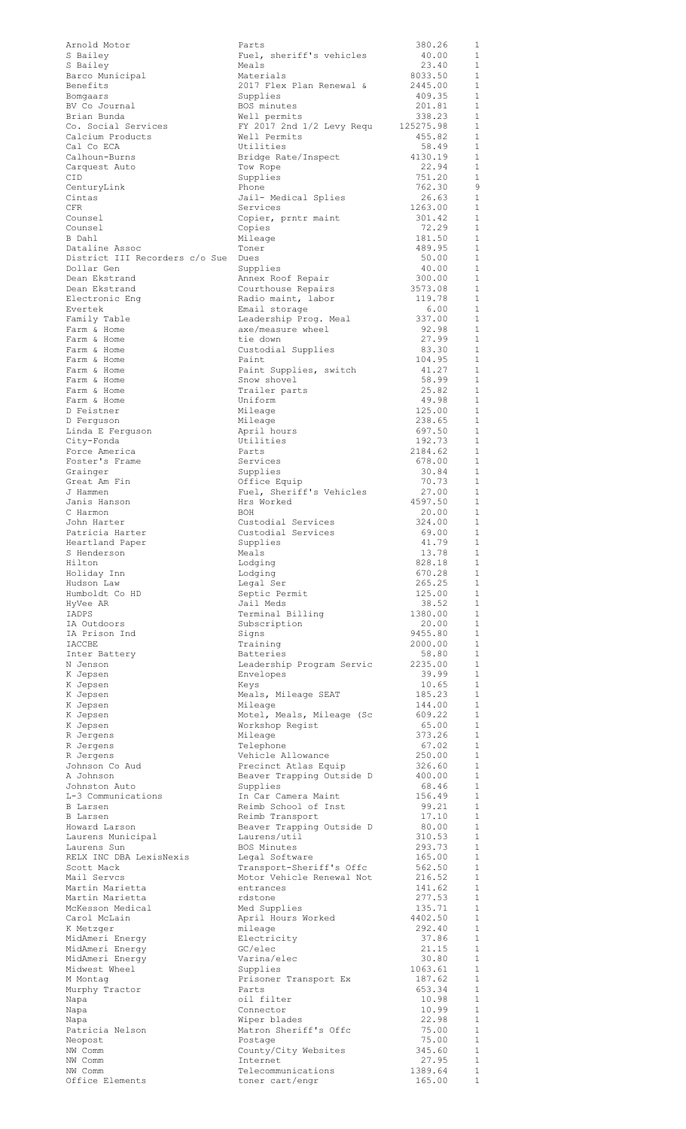| Arnold Motor                                 | Parts                                                 | 380.26             | 1                            |
|----------------------------------------------|-------------------------------------------------------|--------------------|------------------------------|
| S Bailey                                     | Fuel, sheriff's vehicles                              | 40.00              | $\mathbf{1}$                 |
| S Bailey                                     | Meals                                                 | 23.40              | $\mathbf{1}$                 |
| Barco Municipal<br>Benefits                  | Materials<br>2017 Flex Plan Renewal &                 | 8033.50<br>2445.00 | $\mathbf{1}$<br>$\mathbf{1}$ |
| Bomgaars                                     | Supplies                                              | 409.35             | $\mathbf{1}$                 |
| BV Co Journal                                | BOS minutes                                           | 201.81             | $\mathbf{1}$                 |
| Brian Bunda                                  | Well permits                                          | 338.23             | $\mathbf{1}$                 |
| Co. Social Services                          | FY 2017 2nd 1/2 Levy Requ                             | 125275.98          | $\mathbf{1}$<br>$\mathbf{1}$ |
| Calcium Products<br>Cal Co ECA               | Well Permits<br>Utilities                             | 455.82<br>58.49    | $\mathbf{1}$                 |
| Calhoun-Burns                                | Bridge Rate/Inspect                                   | 4130.19            | $\mathbf{1}$                 |
| Carquest Auto                                | Tow Rope                                              | 22.94              | 1                            |
| CID                                          | Supplies                                              | 751.20             | $\mathbf{1}$                 |
| CenturyLink                                  | Phone                                                 | 762.30             | 9                            |
| Cintas<br><b>CFR</b>                         | Jail- Medical Splies<br>Services                      | 26.63<br>1263.00   | $\mathbf{1}$<br>1            |
| Counsel                                      | Copier, prntr maint                                   | 301.42             | $\mathbf{1}$                 |
| Counsel                                      | Copies                                                | 72.29              | 1                            |
| B Dahl                                       | Mileage                                               | 181.50             | $\mathbf{1}$                 |
| Dataline Assoc                               | Toner                                                 | 489.95             | $\mathbf{1}$                 |
| District III Recorders c/o Sue<br>Dollar Gen | Dues<br>Supplies                                      | 50.00<br>40.00     | $\mathbf{1}$<br>1            |
| Dean Ekstrand                                | Annex Roof Repair                                     | 300.00             | $\mathbf{1}$                 |
| Dean Ekstrand                                | Courthouse Repairs                                    | 3573.08            | $\mathbf{1}$                 |
| Electronic Enq                               | Radio maint, labor                                    | 119.78             | $\mathbf{1}$                 |
| Evertek                                      | Email storage                                         | 6.00               | $\mathbf{1}$                 |
| Family Table<br>Farm & Home                  | Leadership Prog. Meal<br>axe/measure wheel            | 337.00<br>92.98    | $\mathbf{1}$<br>1            |
| Farm & Home                                  | tie down                                              | 27.99              | $\mathbf{1}$                 |
| Farm & Home                                  | Custodial Supplies                                    | 83.30              | 1                            |
| Farm & Home                                  | Paint                                                 | 104.95             | $\mathbf{1}$                 |
| Farm & Home                                  | Paint Supplies, switch                                | 41.27              | 1                            |
| Farm & Home                                  | Snow shovel                                           | 58.99<br>25.82     | $\mathbf{1}$<br>$\mathbf{1}$ |
| Farm & Home<br>Farm & Home                   | Trailer parts<br>Uniform                              | 49.98              | $\mathbf{1}$                 |
| D Feistner                                   | Mileage                                               | 125.00             | $\mathbf{1}$                 |
| D Ferguson                                   | Mileage                                               | 238.65             | $\mathbf{1}$                 |
| Linda E Ferguson                             | April hours                                           | 697.50             | $\mathbf{1}$                 |
| City-Fonda                                   | Utilities                                             | 192.73             | $\mathbf{1}$                 |
| Force America<br>Foster's Frame              | Parts<br>Services                                     | 2184.62<br>678.00  | $\mathbf{1}$<br>$\mathbf{1}$ |
| Grainger                                     | Supplies                                              | 30.84              | $\mathbf{1}$                 |
| Great Am Fin                                 | Office Equip                                          | 70.73              | $\mathbf{1}$                 |
| J Hammen                                     | Fuel, Sheriff's Vehicles                              | 27.00              | 1                            |
| Janis Hanson                                 | Hrs Worked                                            | 4597.50            | 1                            |
| C Harmon<br>John Harter                      | <b>BOH</b><br>Custodial Services                      | 20.00<br>324.00    | 1<br>1                       |
| Patricia Harter                              | Custodial Services                                    | 69.00              | 1                            |
| Heartland Paper                              | Supplies                                              | 41.79              | $\mathbf{1}$                 |
| S Henderson                                  | Meals                                                 | 13.78              | 1                            |
| Hilton                                       | Lodging                                               | 828.18             | 1                            |
| Holiday Inn<br>Hudson Law                    | Lodging<br>Legal Ser                                  | 670.28<br>265.25   | 1<br>1                       |
| Humboldt Co HD                               | Septic Permit                                         | 125.00             | $\mathbf{1}$                 |
| HyVee AR                                     | Jail Meds                                             | 38.52              | $\mathbf{1}$                 |
| IADPS                                        | Terminal Billing                                      | 1380.00            | $\mathbf{1}$                 |
| IA Outdoors<br>IA Prison Ind                 | Subscription<br>Signs                                 | 20.00<br>9455.80   | $\mathbf{1}$<br>$\mathbf{1}$ |
| IACCBE                                       | Training                                              | 2000.00            | $\mathbf{1}$                 |
| Inter Battery                                | <b>Batteries</b>                                      | 58.80              | $\mathbf{1}$                 |
| N Jenson                                     | Leadership Program Servic                             | 2235.00            | $\mathbf{1}$                 |
| K Jepsen                                     | Envelopes                                             | 39.99              | 1                            |
| K Jepsen<br>K Jepsen                         | Keys<br>Meals, Mileage SEAT                           | 10.65<br>185.23    | 1<br>$\mathbf{1}$            |
| K Jepsen                                     | Mileage                                               | 144.00             | $\mathbf{1}$                 |
| K Jepsen                                     | Motel, Meals, Mileage (Sc                             | 609.22             | $\mathbf{1}$                 |
| K Jepsen                                     | Workshop Regist                                       | 65.00              | 1                            |
| R Jergens                                    | Mileage                                               | 373.26             | 1                            |
| R Jergens<br>R Jergens                       | Telephone<br>Vehicle Allowance                        | 67.02<br>250.00    | 1<br>$\mathbf{1}$            |
| Johnson Co Aud                               | Precinct Atlas Equip                                  | 326.60             | 1                            |
| A Johnson                                    | Beaver Trapping Outside D                             | 400.00             | 1                            |
| Johnston Auto                                | Supplies                                              | 68.46              | $\mathbf{1}$                 |
| L-3 Communications                           | In Car Camera Maint                                   | 156.49             | $\mathbf{1}$<br>1            |
| B Larsen<br>B Larsen                         | Reimb School of Inst<br>Reimb Transport               | 99.21<br>17.10     | 1                            |
| Howard Larson                                | Beaver Trapping Outside D                             | 80.00              | $\mathbf{1}$                 |
| Laurens Municipal                            | Laurens/util                                          | 310.53             | $\mathbf{1}$                 |
| Laurens Sun                                  | BOS Minutes                                           | 293.73             | $\mathbf{1}$                 |
| RELX INC DBA LexisNexis                      | Legal Software                                        | 165.00<br>562.50   | $\mathbf{1}$<br>1            |
| Scott Mack<br>Mail Servcs                    | Transport-Sheriff's Offc<br>Motor Vehicle Renewal Not | 216.52             | $\mathbf{1}$                 |
| Martin Marietta                              | entrances                                             | 141.62             | $\mathbf{1}$                 |
| Martin Marietta                              | rdstone                                               | 277.53             | $\mathbf{1}$                 |
| McKesson Medical                             | Med Supplies                                          | 135.71             | $\mathbf{1}$                 |
| Carol McLain<br>K Metzger                    | April Hours Worked<br>mileage                         | 4402.50<br>292.40  | $\mathbf{1}$<br>$\mathbf{1}$ |
| MidAmeri Energy                              | Electricity                                           | 37.86              | $\mathbf{1}$                 |
| MidAmeri Energy                              | GC/elec                                               | 21.15              | $\mathbf{1}$                 |
| MidAmeri Energy                              | Varina/elec                                           | 30.80              | 1                            |
| Midwest Wheel                                | Supplies                                              | 1063.61            | $\mathbf{1}$                 |
| M Montag<br>Murphy Tractor                   | Prisoner Transport Ex<br>Parts                        | 187.62<br>653.34   | 1<br>1                       |
| Napa                                         | oil filter                                            | 10.98              | 1                            |
| Napa                                         | Connector                                             | 10.99              | 1                            |
| Napa                                         | Wiper blades                                          | 22.98              | 1                            |
| Patricia Nelson                              | Matron Sheriff's Offc                                 | 75.00              | 1<br>$\mathbf{1}$            |
| Neopost<br>NW Comm                           | Postage<br>County/City Websites                       | 75.00<br>345.60    | $\mathbf{1}$                 |
| NW Comm                                      | Internet                                              | 27.95              | 1                            |
| NW Comm                                      | Telecommunications                                    | 1389.64            | 1                            |
| Office Elements                              | toner cart/engr                                       | 165.00             | $\mathbf 1$                  |